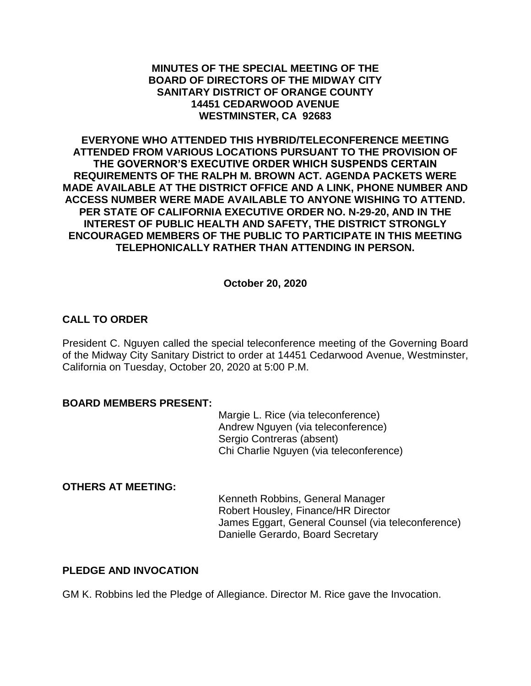### **MINUTES OF THE SPECIAL MEETING OF THE BOARD OF DIRECTORS OF THE MIDWAY CITY SANITARY DISTRICT OF ORANGE COUNTY 14451 CEDARWOOD AVENUE WESTMINSTER, CA 92683**

**EVERYONE WHO ATTENDED THIS HYBRID/TELECONFERENCE MEETING ATTENDED FROM VARIOUS LOCATIONS PURSUANT TO THE PROVISION OF THE GOVERNOR'S EXECUTIVE ORDER WHICH SUSPENDS CERTAIN REQUIREMENTS OF THE RALPH M. BROWN ACT. AGENDA PACKETS WERE MADE AVAILABLE AT THE DISTRICT OFFICE AND A LINK, PHONE NUMBER AND ACCESS NUMBER WERE MADE AVAILABLE TO ANYONE WISHING TO ATTEND. PER STATE OF CALIFORNIA EXECUTIVE ORDER NO. N-29-20, AND IN THE INTEREST OF PUBLIC HEALTH AND SAFETY, THE DISTRICT STRONGLY ENCOURAGED MEMBERS OF THE PUBLIC TO PARTICIPATE IN THIS MEETING TELEPHONICALLY RATHER THAN ATTENDING IN PERSON.**

## **October 20, 2020**

## **CALL TO ORDER**

President C. Nguyen called the special teleconference meeting of the Governing Board of the Midway City Sanitary District to order at 14451 Cedarwood Avenue, Westminster, California on Tuesday, October 20, 2020 at 5:00 P.M.

#### **BOARD MEMBERS PRESENT:**

Margie L. Rice (via teleconference) Andrew Nguyen (via teleconference) Sergio Contreras (absent) Chi Charlie Nguyen (via teleconference)

### **OTHERS AT MEETING:**

Kenneth Robbins, General Manager Robert Housley, Finance/HR Director James Eggart, General Counsel (via teleconference) Danielle Gerardo, Board Secretary

## **PLEDGE AND INVOCATION**

GM K. Robbins led the Pledge of Allegiance. Director M. Rice gave the Invocation.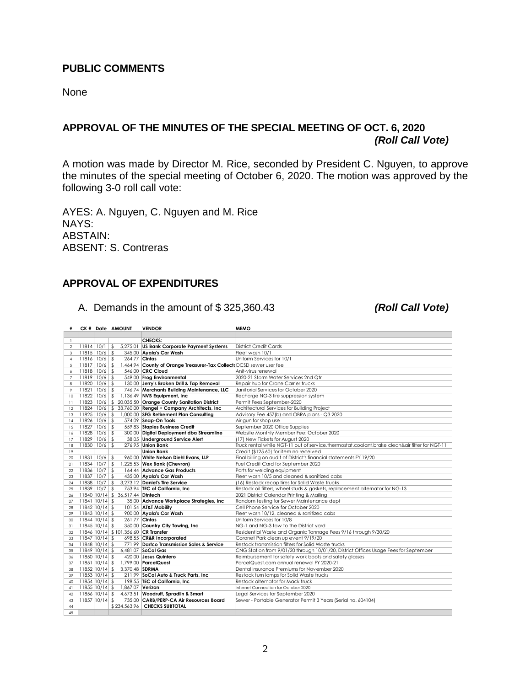# **PUBLIC COMMENTS**

None

# **APPROVAL OF THE MINUTES OF THE SPECIAL MEETING OF OCT. 6, 2020** *(Roll Call Vote)*

A motion was made by Director M. Rice, seconded by President C. Nguyen, to approve the minutes of the special meeting of October 6, 2020. The motion was approved by the following 3-0 roll call vote:

AYES: A. Nguyen, C. Nguyen and M. Rice NAYS: ABSTAIN: ABSENT: S. Contreras

# **APPROVAL OF EXPENDITURES**

|  |  |  |  |  | A. Demands in the amount of \$325,360.43 |
|--|--|--|--|--|------------------------------------------|
|--|--|--|--|--|------------------------------------------|

*(Roll Call Vote)* 

| #               |                    | CK # Date AMOUNT                     | <b>VENDOR</b>                                                        | <b>MEMO</b>                                                                                      |
|-----------------|--------------------|--------------------------------------|----------------------------------------------------------------------|--------------------------------------------------------------------------------------------------|
|                 |                    |                                      |                                                                      |                                                                                                  |
| $\mathbf{1}$    |                    |                                      | CHECKS:                                                              |                                                                                                  |
| $\overline{2}$  | 11814 10/1         | $\frac{1}{2}$                        | 5,275.01 US Bank Corporate Payment Systems                           | <b>District Credit Cards</b>                                                                     |
| 3               | $11815$ $10/6$ \$  |                                      | 345.00 Avala's Car Wash                                              | Fleet wash 10/1                                                                                  |
| $\overline{4}$  | 11816 10/6         | \$                                   | 264.77 Cintas                                                        | Uniform Services for 10/1                                                                        |
| 5               | $11817$ $10/6$ \$  |                                      | 1,464.94 County of Orange Treasurer-Tax Collect (OCSD sewer user fee |                                                                                                  |
| 6               | 11818 10/6         | $\mathfrak{L}$                       | 546.00 CRC Cloud                                                     | Anit-virus renewal                                                                               |
| $\overline{7}$  | 11819 10/6         | \$                                   | 549.00 Frog Environmental                                            | 2020-21 Storm Water Services 2nd Qtr                                                             |
| 8               | 11820 10/6         | $\sqrt{2}$                           | 130.00 Jerry's Broken Drill & Tap Removal                            | Repair hub for Crane Carrier trucks                                                              |
| 9               | 11821 10/6         | $\mathfrak{L}$                       | 746.74 Merchants Building Maintenance, LLC                           | Janitorial Services for October 2020                                                             |
| 10 <sup>°</sup> | $11822$ $10/6$ \$  |                                      | 1,136.49 NVB Equipment, Inc.                                         | Recharge NG-3 fire suppression system                                                            |
| $\overline{11}$ | 11823 10/6         |                                      | \$ 20,035.50 Orange County Sanitation District                       | Permit Fees September-2020                                                                       |
| 12              |                    |                                      | 11824 10/6 \$ 33,760.00 Rengel + Company Architects, Inc             | Architectural Services for Building Project                                                      |
|                 |                    |                                      | 11825 10/6 \$ 1,000.00 SFG Retirement Plan Consulting                | Advisory Fee 457(b) and OBRA plans - Q3 2020                                                     |
| 13              | $11826$ $10/6$ \$  |                                      | 574.09 Snap-On Tools                                                 |                                                                                                  |
| 4               |                    |                                      |                                                                      | Air gun for shop use                                                                             |
| 15              | $11827$ $10/6$ \$  |                                      | 559.83 Staples Business Credit                                       | September 2020 Office Supplies                                                                   |
| 16              | 11828 10/6         | \$                                   | 300.00 Digital Deployment dba Streamline                             | Website Monthly Member Fee: October 2020                                                         |
| 17              | 11829 10/6         | $\sqrt{2}$                           | 38.05 Underground Service Alert                                      | (17) New Tickets for August 2020                                                                 |
| 18              | 11830 10/6         | $\mathfrak{L}$                       | 276.95 Union Bank                                                    | Truck rental while NGT-11 out of service, thermostat, coolant, brake clean&air filter for NGT-11 |
| 19              |                    |                                      | <b>Union Bank</b>                                                    | Credit (\$125.60) for item no received                                                           |
| 20              | 11831 10/6         | \$                                   | 960.00 White Nelson Diehl Evans, LLP                                 | Final billing on audit of District's financial statements FY 19/20                               |
| 21              | 11834 10/7         | $\sqrt[6]{2}$                        | 1,225.53 Wex Bank (Chevron)                                          | Fuel Credit Card for September 2020                                                              |
| 22              | 11836 10/7         | \$                                   | 164.44 Advance Gas Products                                          | Parts for welding equipment                                                                      |
| 23              | 11837 10/7         | $\sqrt{2}$                           | 435.00 Ayala's Car Wash                                              | Fleet wash 10/5 and cleaned & sanitized cabs                                                     |
| 24              | 11838 10/7         | $\mathfrak{L}$                       | 3.273.12 Daniel's Tire Service                                       | (16) Restock recap tires for Solid Waste trucks                                                  |
| 25              | 11839 10/7         | $\sqrt{2}$                           | 753.94 TEC of California, Inc                                        | Restock oil filters, wheel studs & gaskets, replacement alternator for NG-13                     |
| 26              |                    | 11840 10/14 \$ 36.517.44 Diniech     |                                                                      | 2021 District Calendar Printing & Mailing                                                        |
| 27              | $11841$ $10/14$ \$ |                                      | 35.00 Advance Workplace Strategies, Inc.                             | Random testing for Sewer Maintenance dept                                                        |
| 28              | 11842 10/14 \$     |                                      | 101.54 AT&T Mobility                                                 | Cell Phone Service for October 2020                                                              |
| 29              | $11843$ 10/14 \$   |                                      | 900.00 Ayala's Car Wash                                              | Fleet wash 10/12, cleaned & sanitized cabs                                                       |
| 30              | $11844$ $10/14$ \$ | 261.77 Cintas                        |                                                                      | Uniform Services for 10/8                                                                        |
| 31              | $11845$ 10/14 \$   |                                      | 350.00 Country City Towing, Inc                                      | NG-1 and NG-3 tow to the District yard                                                           |
| 32              |                    | 11846 10/14 \$101,356.60 CR Transfer |                                                                      | Residential Waste and Organic Tonnage Fees 9/16 through 9/30/20                                  |
| 33              | $11847$ 10/14 \$   |                                      | 698.55 CR&R Incorporated                                             | Coronet Park clean up event 9/19/20                                                              |
| 34              | $11848$ $10/14$ \$ |                                      | 771.99 Dartco Transmission Sales & Service                           | Restock transmission filters for Solid Waste trucks                                              |
| 35              | $11849$ 10/14 \$   |                                      | 6,481.07 SoCal Gas                                                   | CNG Station from 9/01/20 through 10/01/20, District Offices Usage Fees for September             |
| 36              | 11850 10/14 \$     |                                      | 420.00 Jesus Quintero                                                | Reimbursement for safety work boots and safety glasses                                           |
| 37              | $11851$ $10/14$ \$ |                                      | 1,799.00 ParcelQuest                                                 | ParcelQuest.com annual renewal FY 2020-21                                                        |
| 38              | $11852$ 10/14 \$   | 3.370.48 SDRMA                       |                                                                      | Dental Insurance Premiums for November 2020                                                      |
| 39              | $11853$ 10/14 \$   |                                      | 211.99 SoCal Auto & Truck Parts, Inc                                 | Restock turn lamps for Solid Waste trucks                                                        |
| 40              | 11854 10/14 \$     |                                      | 198.55 TEC of California, Inc.                                       | Restock alternator for Mack truck                                                                |
|                 | $11855$ 10/14 \$   | 1,867.07 Verizon                     |                                                                      | Internet Connection for October 2020                                                             |
| 41              |                    |                                      |                                                                      |                                                                                                  |
| 42              | 11856 10/14 \$     |                                      | 4,673.51 Woodruff, Spradlin & Smart                                  | Legal Services for September 2020                                                                |
| 43              | $11857$ 10/14 \$   |                                      | 735.00 CARB/PERP-CA Air Resources Board                              | Sewer - Portable Generator Permit 3 Years (Serial no. 604104)                                    |
| 44              |                    |                                      | \$234.563.96 <b>CHECKS SUBTOTAL</b>                                  |                                                                                                  |
| 45              |                    |                                      |                                                                      |                                                                                                  |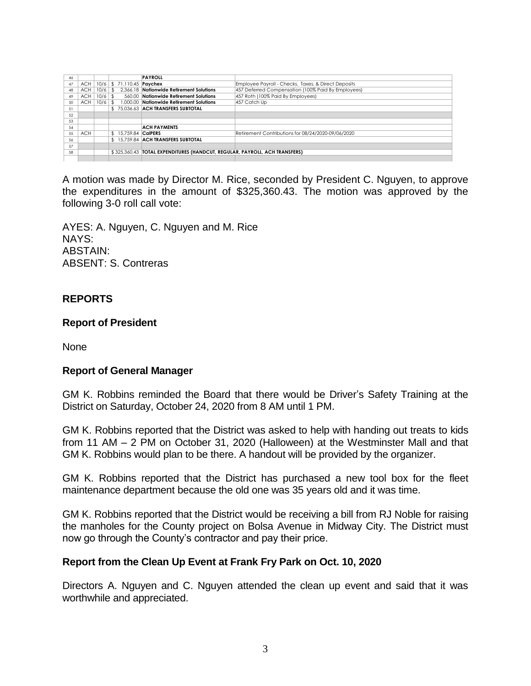| 46 |     |             |                                  | <b>PAYROLL</b>                                                               |                                                     |
|----|-----|-------------|----------------------------------|------------------------------------------------------------------------------|-----------------------------------------------------|
| 47 | ACH |             | 10/6 \$ 71,110.45 <b>Paychex</b> |                                                                              | Employee Payroll - Checks, Taxes, & Direct Deposits |
| 48 | ACH | $10/6$   \$ |                                  | 2.366.18 Nationwide Retirement Solutions                                     | 457 Deferred Compensation (100% Paid By Employees)  |
| 49 | ACH | $10/6$ \$   |                                  | 560.00 Nationwide Retirement Solutions                                       | 457 Roth (100% Paid By Employees)                   |
| 50 | ACH |             |                                  | 10/6   \$ 1,000.00   Nationwide Retirement Solutions                         | 457 Catch Up                                        |
| 51 |     |             |                                  | \$75.036.63 ACH TRANSFERS SUBTOTAL                                           |                                                     |
| 52 |     |             |                                  |                                                                              |                                                     |
| 53 |     |             |                                  |                                                                              |                                                     |
| 54 |     |             |                                  | <b>ACH PAYMENTS</b>                                                          |                                                     |
| 55 | ACH |             | \$ 15.759.84 CalPERS             |                                                                              | Retirement Contributions for 08/24/2020-09/06/2020  |
| 56 |     |             |                                  | \$15,759.84 ACH TRANSFERS SUBTOTAL                                           |                                                     |
| 57 |     |             |                                  |                                                                              |                                                     |
| 58 |     |             |                                  | \$325.360.43   TOTAL EXPENDITURES (HANDCUT, REGULAR, PAYROLL, ACH TRANSFERS) |                                                     |
|    |     |             |                                  |                                                                              |                                                     |

A motion was made by Director M. Rice, seconded by President C. Nguyen, to approve the expenditures in the amount of \$325,360.43. The motion was approved by the following 3-0 roll call vote:

AYES: A. Nguyen, C. Nguyen and M. Rice NAYS: ABSTAIN: ABSENT: S. Contreras

## **REPORTS**

#### **Report of President**

None

#### **Report of General Manager**

GM K. Robbins reminded the Board that there would be Driver's Safety Training at the District on Saturday, October 24, 2020 from 8 AM until 1 PM.

GM K. Robbins reported that the District was asked to help with handing out treats to kids from 11 AM – 2 PM on October 31, 2020 (Halloween) at the Westminster Mall and that GM K. Robbins would plan to be there. A handout will be provided by the organizer.

GM K. Robbins reported that the District has purchased a new tool box for the fleet maintenance department because the old one was 35 years old and it was time.

GM K. Robbins reported that the District would be receiving a bill from RJ Noble for raising the manholes for the County project on Bolsa Avenue in Midway City. The District must now go through the County's contractor and pay their price.

#### **Report from the Clean Up Event at Frank Fry Park on Oct. 10, 2020**

Directors A. Nguyen and C. Nguyen attended the clean up event and said that it was worthwhile and appreciated.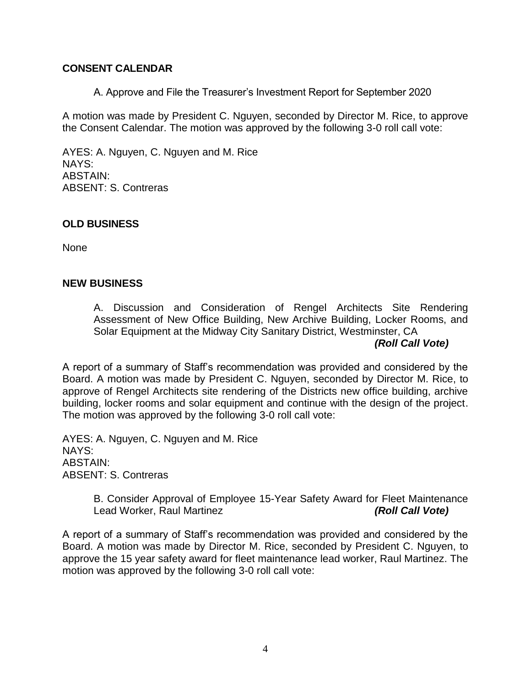## **CONSENT CALENDAR**

A. Approve and File the Treasurer's Investment Report for September 2020

A motion was made by President C. Nguyen, seconded by Director M. Rice, to approve the Consent Calendar. The motion was approved by the following 3-0 roll call vote:

AYES: A. Nguyen, C. Nguyen and M. Rice NAYS: ABSTAIN: ABSENT: S. Contreras

### **OLD BUSINESS**

None

#### **NEW BUSINESS**

A. Discussion and Consideration of Rengel Architects Site Rendering Assessment of New Office Building, New Archive Building, Locker Rooms, and Solar Equipment at the Midway City Sanitary District, Westminster, CA

# *(Roll Call Vote)*

A report of a summary of Staff's recommendation was provided and considered by the Board. A motion was made by President C. Nguyen, seconded by Director M. Rice, to approve of Rengel Architects site rendering of the Districts new office building, archive building, locker rooms and solar equipment and continue with the design of the project. The motion was approved by the following 3-0 roll call vote:

AYES: A. Nguyen, C. Nguyen and M. Rice NAYS: ABSTAIN: ABSENT: S. Contreras

> B. Consider Approval of Employee 15-Year Safety Award for Fleet Maintenance Lead Worker, Raul Martinez *(Roll Call Vote)*

A report of a summary of Staff's recommendation was provided and considered by the Board. A motion was made by Director M. Rice, seconded by President C. Nguyen, to approve the 15 year safety award for fleet maintenance lead worker, Raul Martinez. The motion was approved by the following 3-0 roll call vote: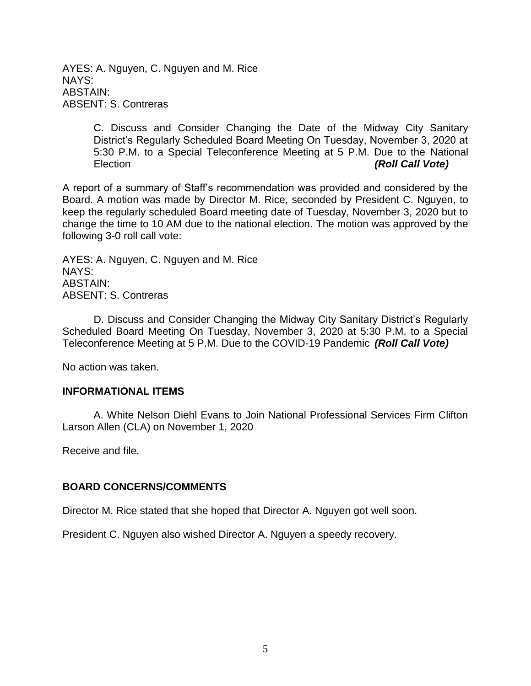AYES: A. Nguyen, C. Nguyen and M. Rice NAYS: ABSTAIN: ABSENT: S. Contreras

> C. Discuss and Consider Changing the Date of the Midway City Sanitary District's Regularly Scheduled Board Meeting On Tuesday, November 3, 2020 at 5:30 P.M. to a Special Teleconference Meeting at 5 P.M. Due to the National Election *(Roll Call Vote)*

A report of a summary of Staff's recommendation was provided and considered by the Board. A motion was made by Director M. Rice, seconded by President C. Nguyen, to keep the regularly scheduled Board meeting date of Tuesday, November 3, 2020 but to change the time to 10 AM due to the national election. The motion was approved by the following 3-0 roll call vote:

AYES: A. Nguyen, C. Nguyen and M. Rice NAYS: ABSTAIN: ABSENT: S. Contreras

D. Discuss and Consider Changing the Midway City Sanitary District's Regularly Scheduled Board Meeting On Tuesday, November 3, 2020 at 5:30 P.M. to a Special Teleconference Meeting at 5 P.M. Due to the COVID-19 Pandemic *(Roll Call Vote)*

No action was taken.

#### **INFORMATIONAL ITEMS**

A. White Nelson Diehl Evans to Join National Professional Services Firm Clifton Larson Allen (CLA) on November 1, 2020

Receive and file.

#### **BOARD CONCERNS/COMMENTS**

Director M. Rice stated that she hoped that Director A. Nguyen got well soon.

President C. Nguyen also wished Director A. Nguyen a speedy recovery.